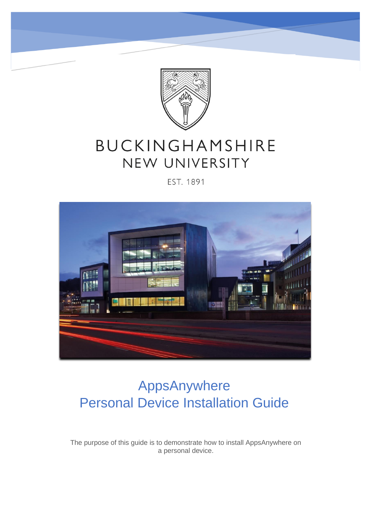

# BUCKINGHAMSHIRE NEW UNIVERSITY

#### EST. 1891



# AppsAnywhere Personal Device Installation Guide

The purpose of this guide is to demonstrate how to install AppsAnywhere on a personal device.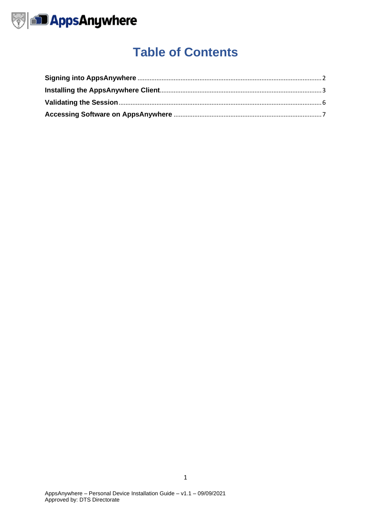

### **Table of Contents**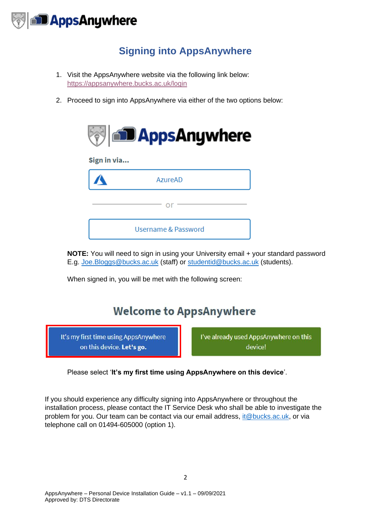

#### **Signing into AppsAnywhere**

- <span id="page-2-0"></span>1. Visit the AppsAnywhere website via the following link below: <https://appsanywhere.bucks.ac.uk/login>
- 2. Proceed to sign into AppsAnywhere via either of the two options below:



**NOTE:** You will need to sign in using your University email + your standard password E.g. [Joe.Bloggs@bucks.ac.uk](mailto:Joe.Bloggs@bucks.ac.uk) (staff) or [studentid@bucks.ac.uk](mailto:studentid@bucks.ac.uk) (students).

When signed in, you will be met with the following screen:

### **Welcome to AppsAnywhere**

It's my first time using AppsAnywhere on this device. Let's go.

I've already used AppsAnywhere on this device!

Please select '**It's my first time using AppsAnywhere on this device**'.

If you should experience any difficulty signing into AppsAnywhere or throughout the installation process, please contact the IT Service Desk who shall be able to investigate the problem for you. Our team can be contact via our email address, [it@bucks.ac.uk,](mailto:it@bucks.ac.uk) or via telephone call on 01494-605000 (option 1).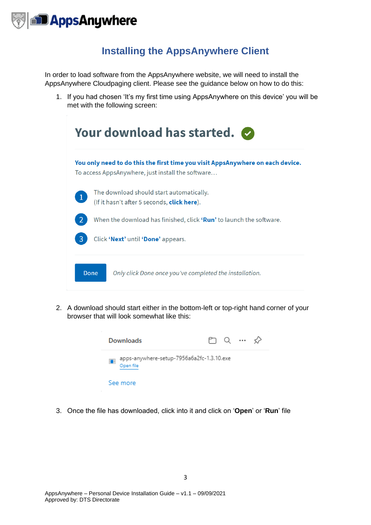

#### **Installing the AppsAnywhere Client**

<span id="page-3-0"></span>In order to load software from the AppsAnywhere website, we will need to install the AppsAnywhere Cloudpaging client. Please see the guidance below on how to do this:

1. If you had chosen 'It's my first time using AppsAnywhere on this device' you will be met with the following screen:

| Your download has started. |                                                                                                                                     |  |  |  |  |  |
|----------------------------|-------------------------------------------------------------------------------------------------------------------------------------|--|--|--|--|--|
|                            | You only need to do this the first time you visit AppsAnywhere on each device.<br>To access AppsAnywhere, just install the software |  |  |  |  |  |
| $\mathbf{1}$               | The download should start automatically.<br>(If it hasn't after 5 seconds, <b>click here</b> ).                                     |  |  |  |  |  |
|                            | When the download has finished, click <b>'Run'</b> to launch the software.                                                          |  |  |  |  |  |
| 3                          | Click 'Next' until 'Done' appears.                                                                                                  |  |  |  |  |  |
|                            | Done<br>Only click Done once you've completed the installation.                                                                     |  |  |  |  |  |

2. A download should start either in the bottom-left or top-right hand corner of your browser that will look somewhat like this:



3. Once the file has downloaded, click into it and click on '**Open**' or '**Run**' file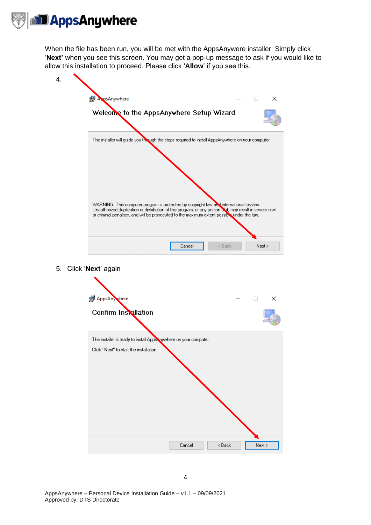

When the file has been run, you will be met with the AppsAnywere installer. Simply click '**Next'** when you see this screen. You may get a pop-up message to ask if you would like to allow this installation to proceed. Please click '**Allow**' if you see this.

| 4. |                                                                                                                                                                                                                                                                                                       |
|----|-------------------------------------------------------------------------------------------------------------------------------------------------------------------------------------------------------------------------------------------------------------------------------------------------------|
|    | AppsAnywhere<br>×                                                                                                                                                                                                                                                                                     |
|    | Welcome to the AppsAnywhere Setup Wizard                                                                                                                                                                                                                                                              |
|    | The installer will guide you though the steps required to install AppsAnywhere on your computer.                                                                                                                                                                                                      |
|    | WARNING: This computer program is protected by copyright law and international treaties.<br>Unauthorized duplication or distribution of this program, or any portion of it, may result in severe civil<br>or criminal penalties, and will be prosecuted to the maximum extent possible under the law. |
|    | Cancel<br>< Back<br>Next >                                                                                                                                                                                                                                                                            |

5. Click '**Next**' again

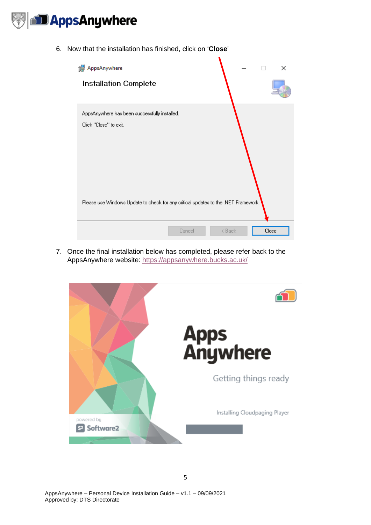

6. Now that the installation has finished, click on '**Close**'



7. Once the final installation below has completed, please refer back to the AppsAnywhere website:<https://appsanywhere.bucks.ac.uk/>

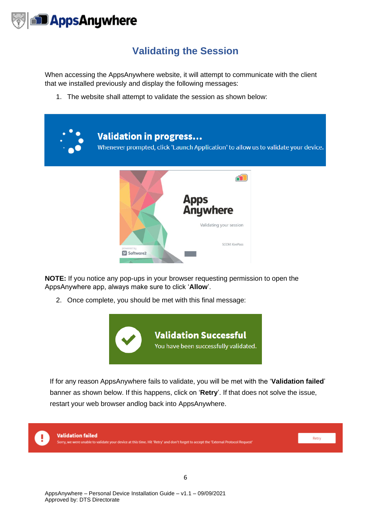

#### **Validating the Session**

<span id="page-6-0"></span>When accessing the AppsAnywhere website, it will attempt to communicate with the client that we installed previously and display the following messages:

1. The website shall attempt to validate the session as shown below:



**NOTE:** If you notice any pop-ups in your browser requesting permission to open the AppsAnywhere app, always make sure to click '**Allow**'.

2. Once complete, you should be met with this final message:



If for any reason AppsAnywhere fails to validate, you will be met with the '**Validation failed**' banner as shown below. If this happens, click on '**Retry**'. If that does not solve the issue, restart your web browser andlog back into AppsAnywhere.

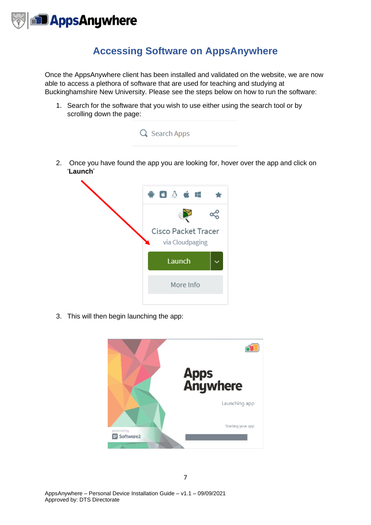

#### **Accessing Software on AppsAnywhere**

<span id="page-7-0"></span>Once the AppsAnywhere client has been installed and validated on the website, we are now able to access a plethora of software that are used for teaching and studying at Buckinghamshire New University. Please see the steps below on how to run the software:

1. Search for the software that you wish to use either using the search tool or by scrolling down the page:





3. This will then begin launching the app: